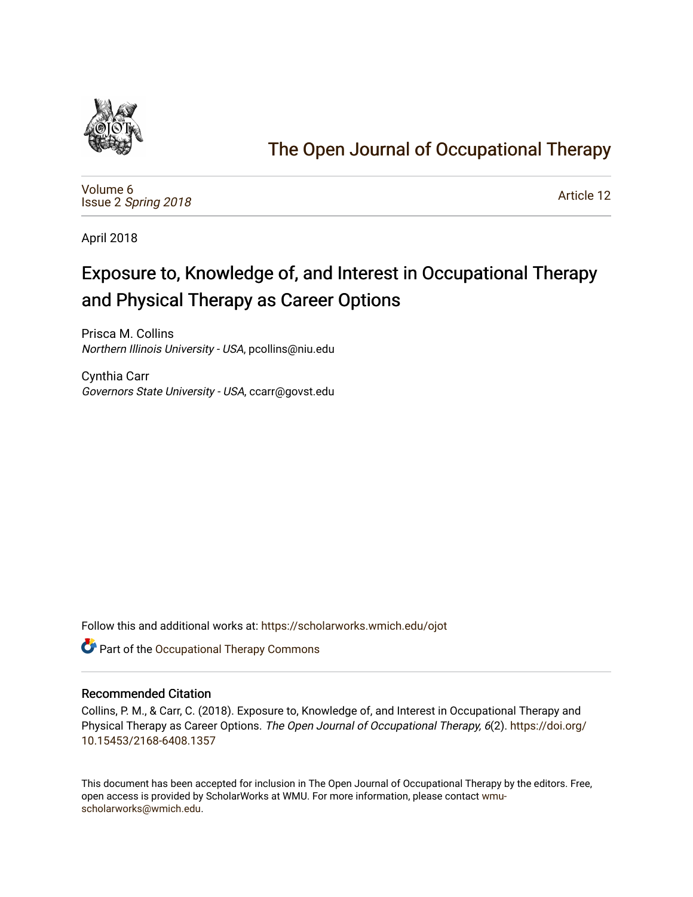

## [The Open Journal of Occupational Therapy](https://scholarworks.wmich.edu/ojot)

[Volume 6](https://scholarworks.wmich.edu/ojot/vol6) Issue 2 [Spring 2018](https://scholarworks.wmich.edu/ojot/vol6/iss2) 

[Article 12](https://scholarworks.wmich.edu/ojot/vol6/iss2/12) 

April 2018

# Exposure to, Knowledge of, and Interest in Occupational Therapy and Physical Therapy as Career Options

Prisca M. Collins Northern Illinois University - USA, pcollins@niu.edu

Cynthia Carr Governors State University - USA, ccarr@govst.edu

Follow this and additional works at: [https://scholarworks.wmich.edu/ojot](https://scholarworks.wmich.edu/ojot?utm_source=scholarworks.wmich.edu%2Fojot%2Fvol6%2Fiss2%2F12&utm_medium=PDF&utm_campaign=PDFCoverPages)

Part of the [Occupational Therapy Commons](http://network.bepress.com/hgg/discipline/752?utm_source=scholarworks.wmich.edu%2Fojot%2Fvol6%2Fiss2%2F12&utm_medium=PDF&utm_campaign=PDFCoverPages) 

#### Recommended Citation

Collins, P. M., & Carr, C. (2018). Exposure to, Knowledge of, and Interest in Occupational Therapy and Physical Therapy as Career Options. The Open Journal of Occupational Therapy, 6(2). [https://doi.org/](https://doi.org/10.15453/2168-6408.1357) [10.15453/2168-6408.1357](https://doi.org/10.15453/2168-6408.1357) 

This document has been accepted for inclusion in The Open Journal of Occupational Therapy by the editors. Free, open access is provided by ScholarWorks at WMU. For more information, please contact [wmu](mailto:wmu-scholarworks@wmich.edu)[scholarworks@wmich.edu.](mailto:wmu-scholarworks@wmich.edu)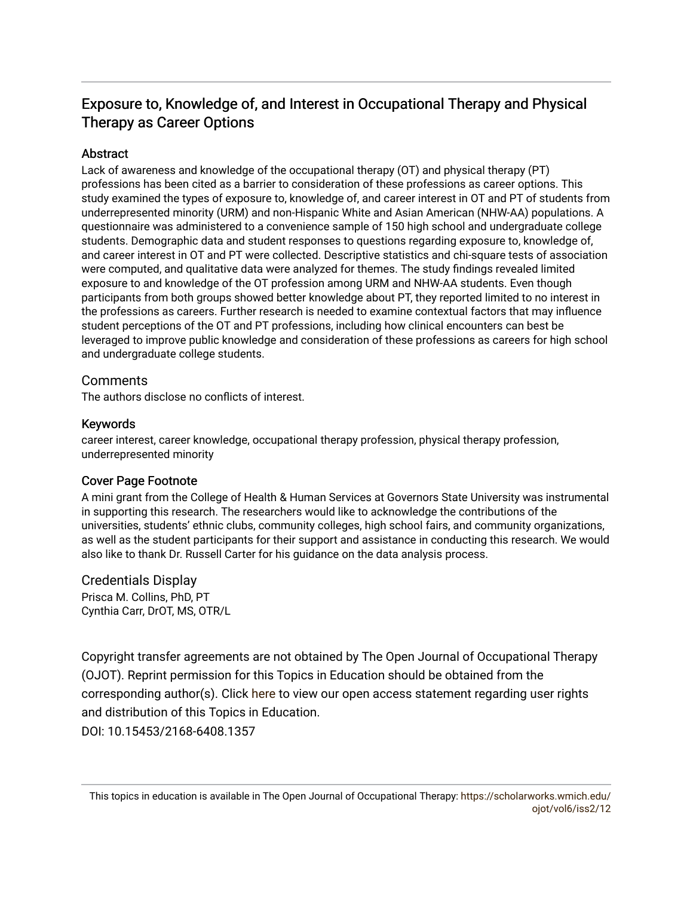## Exposure to, Knowledge of, and Interest in Occupational Therapy and Physical Therapy as Career Options

#### **Abstract**

Lack of awareness and knowledge of the occupational therapy (OT) and physical therapy (PT) professions has been cited as a barrier to consideration of these professions as career options. This study examined the types of exposure to, knowledge of, and career interest in OT and PT of students from underrepresented minority (URM) and non-Hispanic White and Asian American (NHW-AA) populations. A questionnaire was administered to a convenience sample of 150 high school and undergraduate college students. Demographic data and student responses to questions regarding exposure to, knowledge of, and career interest in OT and PT were collected. Descriptive statistics and chi-square tests of association were computed, and qualitative data were analyzed for themes. The study findings revealed limited exposure to and knowledge of the OT profession among URM and NHW-AA students. Even though participants from both groups showed better knowledge about PT, they reported limited to no interest in the professions as careers. Further research is needed to examine contextual factors that may influence student perceptions of the OT and PT professions, including how clinical encounters can best be leveraged to improve public knowledge and consideration of these professions as careers for high school and undergraduate college students.

#### **Comments**

The authors disclose no conflicts of interest.

#### Keywords

career interest, career knowledge, occupational therapy profession, physical therapy profession, underrepresented minority

#### Cover Page Footnote

A mini grant from the College of Health & Human Services at Governors State University was instrumental in supporting this research. The researchers would like to acknowledge the contributions of the universities, students' ethnic clubs, community colleges, high school fairs, and community organizations, as well as the student participants for their support and assistance in conducting this research. We would also like to thank Dr. Russell Carter for his guidance on the data analysis process.

#### Credentials Display

Prisca M. Collins, PhD, PT Cynthia Carr, DrOT, MS, OTR/L

Copyright transfer agreements are not obtained by The Open Journal of Occupational Therapy (OJOT). Reprint permission for this Topics in Education should be obtained from the corresponding author(s). Click [here](https://scholarworks.wmich.edu/ojot/policies.html#rights) to view our open access statement regarding user rights and distribution of this Topics in Education. DOI: 10.15453/2168-6408.1357

This topics in education is available in The Open Journal of Occupational Therapy: [https://scholarworks.wmich.edu/](https://scholarworks.wmich.edu/ojot/vol6/iss2/12) [ojot/vol6/iss2/12](https://scholarworks.wmich.edu/ojot/vol6/iss2/12)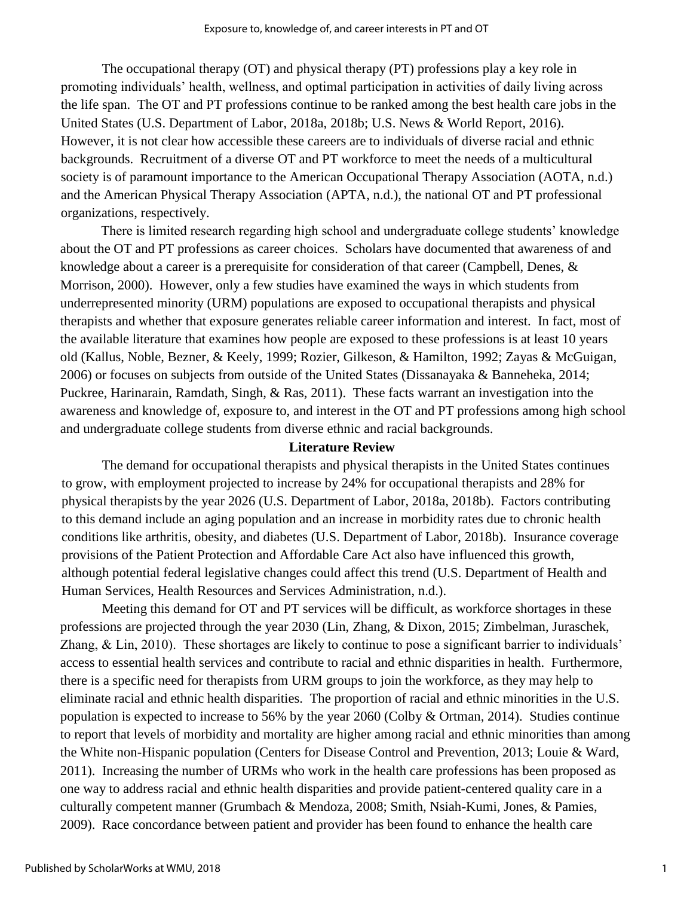The occupational therapy (OT) and physical therapy (PT) professions play a key role in promoting individuals' health, wellness, and optimal participation in activities of daily living across the life span. The OT and PT professions continue to be ranked among the best health care jobs in the United States (U.S. Department of Labor, 2018a, 2018b; U.S. News & World Report, 2016). However, it is not clear how accessible these careers are to individuals of diverse racial and ethnic backgrounds. Recruitment of a diverse OT and PT workforce to meet the needs of a multicultural society is of paramount importance to the American Occupational Therapy Association (AOTA, n.d.) and the American Physical Therapy Association (APTA, n.d.), the national OT and PT professional organizations, respectively.

There is limited research regarding high school and undergraduate college students' knowledge about the OT and PT professions as career choices. Scholars have documented that awareness of and knowledge about a career is a prerequisite for consideration of that career (Campbell, Denes, & Morrison, 2000). However, only a few studies have examined the ways in which students from underrepresented minority (URM) populations are exposed to occupational therapists and physical therapists and whether that exposure generates reliable career information and interest. In fact, most of the available literature that examines how people are exposed to these professions is at least 10 years old (Kallus, Noble, Bezner, & Keely, 1999; Rozier, Gilkeson, & Hamilton, 1992; Zayas & McGuigan, 2006) or focuses on subjects from outside of the United States (Dissanayaka & Banneheka, 2014; Puckree, Harinarain, Ramdath, Singh, & Ras, 2011). These facts warrant an investigation into the awareness and knowledge of, exposure to, and interest in the OT and PT professions among high school and undergraduate college students from diverse ethnic and racial backgrounds.

#### **Literature Review**

The demand for occupational therapists and physical therapists in the United States continues to grow, with employment projected to increase by 24% for occupational therapists and 28% for physical therapists by the year 2026 (U.S. Department of Labor, 2018a, 2018b). Factors contributing to this demand include an aging population and an increase in morbidity rates due to chronic health conditions like arthritis, obesity, and diabetes (U.S. Department of Labor, 2018b). Insurance coverage provisions of the Patient Protection and Affordable Care Act also have influenced this growth, although potential federal legislative changes could affect this trend (U.S. Department of Health and Human Services, Health Resources and Services Administration, n.d.).

Meeting this demand for OT and PT services will be difficult, as workforce shortages in these professions are projected through the year 2030 (Lin, Zhang, & Dixon, 2015; Zimbelman, Juraschek, Zhang, & Lin, 2010). These shortages are likely to continue to pose a significant barrier to individuals' access to essential health services and contribute to racial and ethnic disparities in health. Furthermore, there is a specific need for therapists from URM groups to join the workforce, as they may help to eliminate racial and ethnic health disparities. The proportion of racial and ethnic minorities in the U.S. population is expected to increase to 56% by the year 2060 (Colby & Ortman, 2014). Studies continue to report that levels of morbidity and mortality are higher among racial and ethnic minorities than among the White non-Hispanic population (Centers for Disease Control and Prevention, 2013; Louie & Ward, 2011). Increasing the number of URMs who work in the health care professions has been proposed as one way to address racial and ethnic health disparities and provide patient-centered quality care in a culturally competent manner (Grumbach & Mendoza, 2008; Smith, Nsiah-Kumi, Jones, & Pamies, 2009). Race concordance between patient and provider has been found to enhance the health care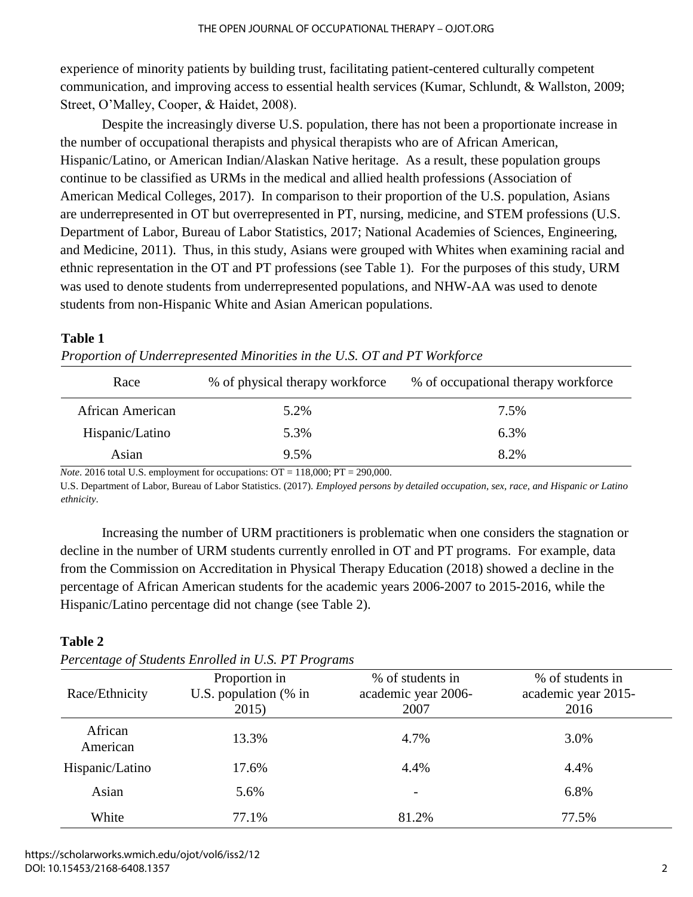experience of minority patients by building trust, facilitating patient-centered culturally competent communication, and improving access to essential health services (Kumar, Schlundt, & Wallston, 2009; Street, O'Malley, Cooper, & Haidet, 2008).

Despite the increasingly diverse U.S. population, there has not been a proportionate increase in the number of occupational therapists and physical therapists who are of African American, Hispanic/Latino, or American Indian/Alaskan Native heritage. As a result, these population groups continue to be classified as URMs in the medical and allied health professions (Association of American Medical Colleges, 2017). In comparison to their proportion of the U.S. population, Asians are underrepresented in OT but overrepresented in PT, nursing, medicine, and STEM professions (U.S. Department of Labor, Bureau of Labor Statistics, 2017; National Academies of Sciences, Engineering, and Medicine, 2011). Thus, in this study, Asians were grouped with Whites when examining racial and ethnic representation in the OT and PT professions (see Table 1). For the purposes of this study, URM was used to denote students from underrepresented populations, and NHW-AA was used to denote students from non-Hispanic White and Asian American populations.

#### **Table 1**

| Race             | % of physical therapy workforce | % of occupational therapy workforce |  |
|------------------|---------------------------------|-------------------------------------|--|
| African American | 5.2%                            | 7.5%                                |  |
| Hispanic/Latino  | 5.3%                            | 6.3%                                |  |
| Asian            | 9.5%                            | 8.2%                                |  |

| Proportion of Underrepresented Minorities in the U.S. OT and PT Workforce |  |  |  |  |
|---------------------------------------------------------------------------|--|--|--|--|
|                                                                           |  |  |  |  |

*Note*. 2016 total U.S. employment for occupations:  $OT = 118,000$ ;  $PT = 290,000$ .

U.S. Department of Labor, Bureau of Labor Statistics. (2017). *Employed persons by detailed occupation, sex, race, and Hispanic or Latino ethnicity*.

Increasing the number of URM practitioners is problematic when one considers the stagnation or decline in the number of URM students currently enrolled in OT and PT programs. For example, data from the Commission on Accreditation in Physical Therapy Education (2018) showed a decline in the percentage of African American students for the academic years 2006-2007 to 2015-2016, while the Hispanic/Latino percentage did not change (see Table 2).

#### **Table 2**

| Race/Ethnicity      | Proportion in<br>U.S. population (% in<br>2015) | % of students in<br>academic year 2006-<br>2007 | % of students in<br>academic year 2015-<br>2016 |
|---------------------|-------------------------------------------------|-------------------------------------------------|-------------------------------------------------|
| African<br>American | 13.3%                                           | 4.7%                                            | 3.0%                                            |
| Hispanic/Latino     | 17.6%                                           | 4.4%                                            | 4.4%                                            |
| Asian               | 5.6%                                            |                                                 | 6.8%                                            |
| White               | 77.1%                                           | 81.2%                                           | 77.5%                                           |

*Percentage of Students Enrolled in U.S. PT Programs*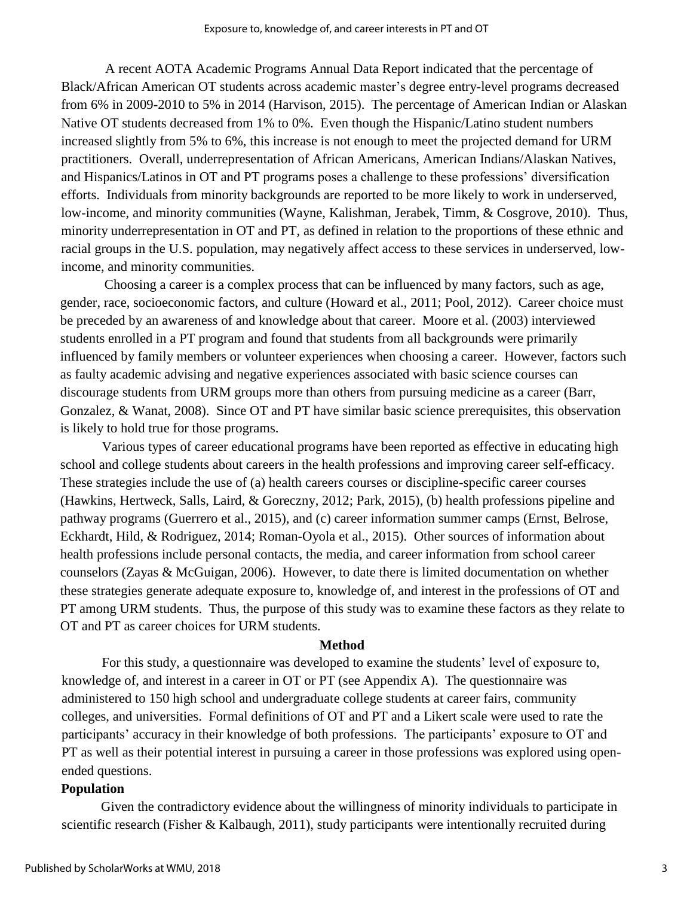A recent AOTA Academic Programs Annual Data Report indicated that the percentage of Black/African American OT students across academic master's degree entry-level programs decreased from 6% in 2009-2010 to 5% in 2014 (Harvison, 2015). The percentage of American Indian or Alaskan Native OT students decreased from 1% to 0%. Even though the Hispanic/Latino student numbers increased slightly from 5% to 6%, this increase is not enough to meet the projected demand for URM practitioners. Overall, underrepresentation of African Americans, American Indians/Alaskan Natives, and Hispanics/Latinos in OT and PT programs poses a challenge to these professions' diversification efforts. Individuals from minority backgrounds are reported to be more likely to work in underserved, low-income, and minority communities (Wayne, Kalishman, Jerabek, Timm, & Cosgrove, 2010). Thus, minority underrepresentation in OT and PT, as defined in relation to the proportions of these ethnic and racial groups in the U.S. population, may negatively affect access to these services in underserved, lowincome, and minority communities.

Choosing a career is a complex process that can be influenced by many factors, such as age, gender, race, socioeconomic factors, and culture (Howard et al., 2011; Pool, 2012). Career choice must be preceded by an awareness of and knowledge about that career. Moore et al. (2003) interviewed students enrolled in a PT program and found that students from all backgrounds were primarily influenced by family members or volunteer experiences when choosing a career. However, factors such as faulty academic advising and negative experiences associated with basic science courses can discourage students from URM groups more than others from pursuing medicine as a career (Barr, Gonzalez, & Wanat, 2008). Since OT and PT have similar basic science prerequisites, this observation is likely to hold true for those programs.

Various types of career educational programs have been reported as effective in educating high school and college students about careers in the health professions and improving career self-efficacy. These strategies include the use of (a) health careers courses or discipline-specific career courses (Hawkins, Hertweck, Salls, Laird, & Goreczny, 2012; Park, 2015), (b) health professions pipeline and pathway programs (Guerrero et al., 2015), and (c) career information summer camps (Ernst, Belrose, Eckhardt, Hild, & Rodriguez, 2014; Roman-Oyola et al., 2015). Other sources of information about health professions include personal contacts, the media, and career information from school career counselors (Zayas & McGuigan, 2006). However, to date there is limited documentation on whether these strategies generate adequate exposure to, knowledge of, and interest in the professions of OT and PT among URM students. Thus, the purpose of this study was to examine these factors as they relate to OT and PT as career choices for URM students.

#### **Method**

For this study, a questionnaire was developed to examine the students' level of exposure to, knowledge of, and interest in a career in OT or PT (see Appendix A). The questionnaire was administered to 150 high school and undergraduate college students at career fairs, community colleges, and universities. Formal definitions of OT and PT and a Likert scale were used to rate the participants' accuracy in their knowledge of both professions. The participants' exposure to OT and PT as well as their potential interest in pursuing a career in those professions was explored using openended questions.

#### **Population**

Given the contradictory evidence about the willingness of minority individuals to participate in scientific research (Fisher & Kalbaugh, 2011), study participants were intentionally recruited during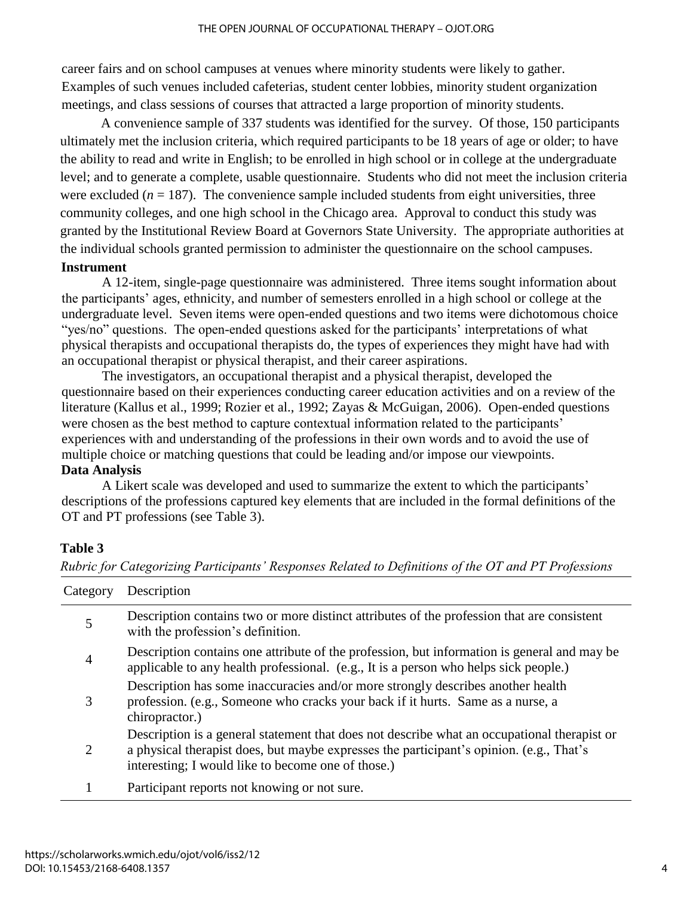career fairs and on school campuses at venues where minority students were likely to gather. Examples of such venues included cafeterias, student center lobbies, minority student organization meetings, and class sessions of courses that attracted a large proportion of minority students.

A convenience sample of 337 students was identified for the survey. Of those, 150 participants ultimately met the inclusion criteria, which required participants to be 18 years of age or older; to have the ability to read and write in English; to be enrolled in high school or in college at the undergraduate level; and to generate a complete, usable questionnaire. Students who did not meet the inclusion criteria were excluded  $(n = 187)$ . The convenience sample included students from eight universities, three community colleges, and one high school in the Chicago area. Approval to conduct this study was granted by the Institutional Review Board at Governors State University. The appropriate authorities at the individual schools granted permission to administer the questionnaire on the school campuses. **Instrument**

#### A 12-item, single-page questionnaire was administered. Three items sought information about the participants' ages, ethnicity, and number of semesters enrolled in a high school or college at the undergraduate level. Seven items were open-ended questions and two items were dichotomous choice "yes/no" questions. The open-ended questions asked for the participants' interpretations of what physical therapists and occupational therapists do, the types of experiences they might have had with an occupational therapist or physical therapist, and their career aspirations.

The investigators, an occupational therapist and a physical therapist, developed the questionnaire based on their experiences conducting career education activities and on a review of the literature (Kallus et al., 1999; Rozier et al., 1992; Zayas & McGuigan, 2006). Open-ended questions were chosen as the best method to capture contextual information related to the participants' experiences with and understanding of the professions in their own words and to avoid the use of multiple choice or matching questions that could be leading and/or impose our viewpoints. **Data Analysis** 

A Likert scale was developed and used to summarize the extent to which the participants' descriptions of the professions captured key elements that are included in the formal definitions of the OT and PT professions (see Table 3).

### **Table 3**

| Category | Description                                                                                                                                                                                                                                  |
|----------|----------------------------------------------------------------------------------------------------------------------------------------------------------------------------------------------------------------------------------------------|
| 5        | Description contains two or more distinct attributes of the profession that are consistent<br>with the profession's definition.                                                                                                              |
| 4        | Description contains one attribute of the profession, but information is general and may be<br>applicable to any health professional. (e.g., It is a person who helps sick people.)                                                          |
| 3        | Description has some inaccuracies and/or more strongly describes another health<br>profession. (e.g., Someone who cracks your back if it hurts. Same as a nurse, a<br>chiropractor.)                                                         |
| 2        | Description is a general statement that does not describe what an occupational therapist or<br>a physical therapist does, but maybe expresses the participant's opinion. (e.g., That's<br>interesting; I would like to become one of those.) |
|          | Participant reports not knowing or not sure.                                                                                                                                                                                                 |

*Rubric for Categorizing Participants' Responses Related to Definitions of the OT and PT Professions*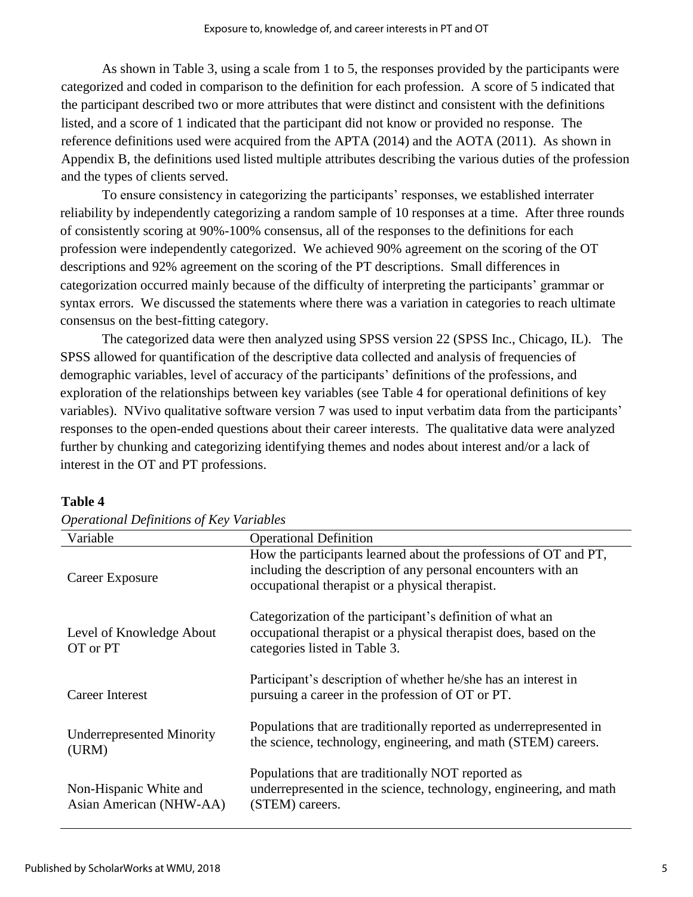As shown in Table 3, using a scale from 1 to 5, the responses provided by the participants were categorized and coded in comparison to the definition for each profession. A score of 5 indicated that the participant described two or more attributes that were distinct and consistent with the definitions listed, and a score of 1 indicated that the participant did not know or provided no response. The reference definitions used were acquired from the APTA (2014) and the AOTA (2011). As shown in Appendix B, the definitions used listed multiple attributes describing the various duties of the profession and the types of clients served.

To ensure consistency in categorizing the participants' responses, we established interrater reliability by independently categorizing a random sample of 10 responses at a time. After three rounds of consistently scoring at 90%-100% consensus, all of the responses to the definitions for each profession were independently categorized. We achieved 90% agreement on the scoring of the OT descriptions and 92% agreement on the scoring of the PT descriptions. Small differences in categorization occurred mainly because of the difficulty of interpreting the participants' grammar or syntax errors. We discussed the statements where there was a variation in categories to reach ultimate consensus on the best-fitting category.

The categorized data were then analyzed using SPSS version 22 (SPSS Inc., Chicago, IL). The SPSS allowed for quantification of the descriptive data collected and analysis of frequencies of demographic variables, level of accuracy of the participants' definitions of the professions, and exploration of the relationships between key variables (see Table 4 for operational definitions of key variables). NVivo qualitative software version 7 was used to input verbatim data from the participants' responses to the open-ended questions about their career interests. The qualitative data were analyzed further by chunking and categorizing identifying themes and nodes about interest and/or a lack of interest in the OT and PT professions.

| Variable                                          | <b>Operational Definition</b>                                                                                                                                                       |
|---------------------------------------------------|-------------------------------------------------------------------------------------------------------------------------------------------------------------------------------------|
| Career Exposure                                   | How the participants learned about the professions of OT and PT,<br>including the description of any personal encounters with an<br>occupational therapist or a physical therapist. |
| Level of Knowledge About<br>OT or PT              | Categorization of the participant's definition of what an<br>occupational therapist or a physical therapist does, based on the<br>categories listed in Table 3.                     |
| Career Interest                                   | Participant's description of whether he/she has an interest in<br>pursuing a career in the profession of OT or PT.                                                                  |
| <b>Underrepresented Minority</b><br>(URM)         | Populations that are traditionally reported as underrepresented in<br>the science, technology, engineering, and math (STEM) careers.                                                |
| Non-Hispanic White and<br>Asian American (NHW-AA) | Populations that are traditionally NOT reported as<br>underrepresented in the science, technology, engineering, and math<br>(STEM) careers.                                         |

#### **Table 4**

| <b>Operational Definitions of Key Variables</b> |  |  |
|-------------------------------------------------|--|--|
|                                                 |  |  |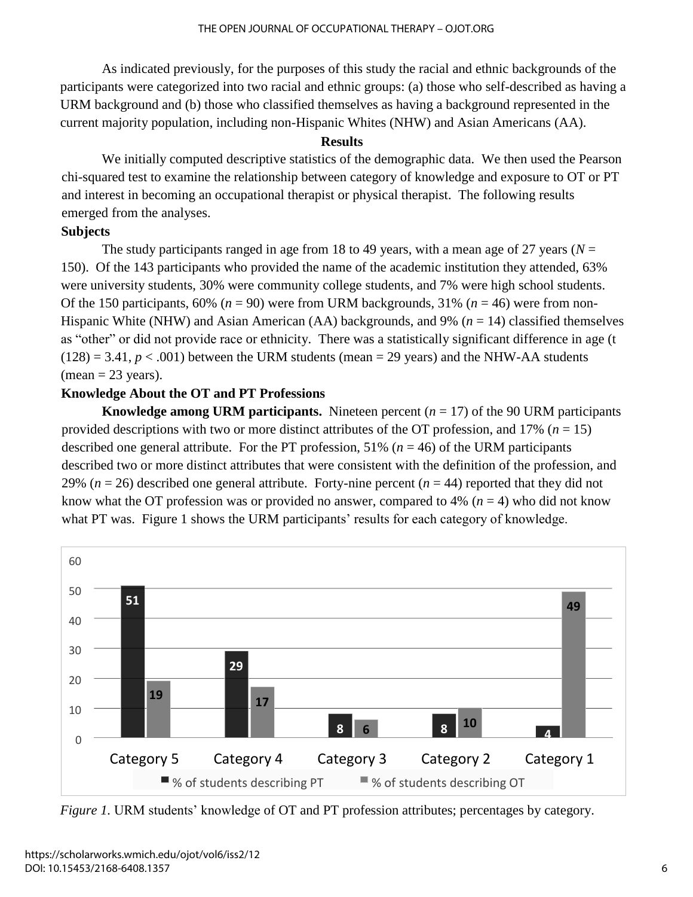As indicated previously, for the purposes of this study the racial and ethnic backgrounds of the participants were categorized into two racial and ethnic groups: (a) those who self-described as having a URM background and (b) those who classified themselves as having a background represented in the current majority population, including non-Hispanic Whites (NHW) and Asian Americans (AA).

#### **Results**

We initially computed descriptive statistics of the demographic data. We then used the Pearson chi-squared test to examine the relationship between category of knowledge and exposure to OT or PT and interest in becoming an occupational therapist or physical therapist. The following results emerged from the analyses.

#### **Subjects**

The study participants ranged in age from 18 to 49 years, with a mean age of 27 years ( $N =$ 150). Of the 143 participants who provided the name of the academic institution they attended, 63% were university students, 30% were community college students, and 7% were high school students. Of the 150 participants, 60% ( $n = 90$ ) were from URM backgrounds, 31% ( $n = 46$ ) were from non-Hispanic White (NHW) and Asian American (AA) backgrounds, and 9% (*n* = 14) classified themselves as "other" or did not provide race or ethnicity. There was a statistically significant difference in age (t  $(128) = 3.41, p < .001$ ) between the URM students (mean = 29 years) and the NHW-AA students  $(\text{mean} = 23 \text{ years}).$ 

#### **Knowledge About the OT and PT Professions**

**Knowledge among URM participants.** Nineteen percent  $(n = 17)$  of the 90 URM participants provided descriptions with two or more distinct attributes of the OT profession, and 17% (*n* = 15) described one general attribute. For the PT profession, 51% (*n* = 46) of the URM participants described two or more distinct attributes that were consistent with the definition of the profession, and 29% ( $n = 26$ ) described one general attribute. Forty-nine percent ( $n = 44$ ) reported that they did not know what the OT profession was or provided no answer, compared to 4% ( $n = 4$ ) who did not know what PT was. Figure 1 shows the URM participants' results for each category of knowledge.



*Figure 1.* URM students' knowledge of OT and PT profession attributes; percentages by category.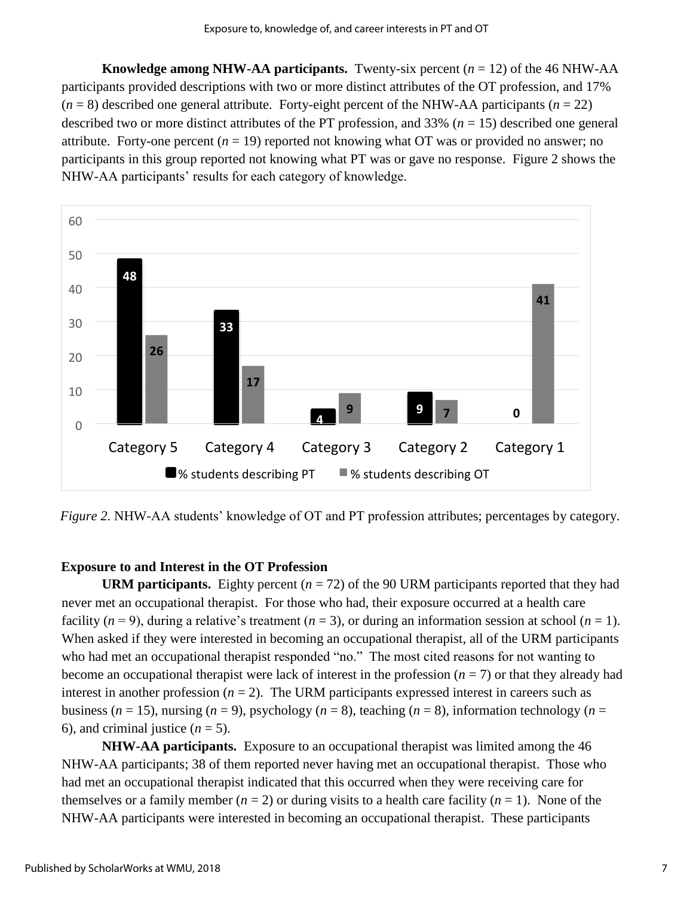**Knowledge among NHW-AA participants.** Twenty-six percent  $(n = 12)$  of the 46 NHW-AA participants provided descriptions with two or more distinct attributes of the OT profession, and 17%  $(n = 8)$  described one general attribute. Forty-eight percent of the NHW-AA participants  $(n = 22)$ described two or more distinct attributes of the PT profession, and 33% (*n* = 15) described one general attribute. Forty-one percent  $(n = 19)$  reported not knowing what OT was or provided no answer; no participants in this group reported not knowing what PT was or gave no response. Figure 2 shows the NHW-AA participants' results for each category of knowledge.



*Figure 2.* NHW-AA students' knowledge of OT and PT profession attributes; percentages by category.

#### **Exposure to and Interest in the OT Profession**

**URM participants.** Eighty percent  $(n = 72)$  of the 90 URM participants reported that they had never met an occupational therapist. For those who had, their exposure occurred at a health care facility  $(n = 9)$ , during a relative's treatment  $(n = 3)$ , or during an information session at school  $(n = 1)$ . When asked if they were interested in becoming an occupational therapist, all of the URM participants who had met an occupational therapist responded "no." The most cited reasons for not wanting to become an occupational therapist were lack of interest in the profession  $(n = 7)$  or that they already had interest in another profession  $(n = 2)$ . The URM participants expressed interest in careers such as business ( $n = 15$ ), nursing ( $n = 9$ ), psychology ( $n = 8$ ), teaching ( $n = 8$ ), information technology ( $n =$ 6), and criminal justice  $(n = 5)$ .

**NHW-AA participants.** Exposure to an occupational therapist was limited among the 46 NHW-AA participants; 38 of them reported never having met an occupational therapist. Those who had met an occupational therapist indicated that this occurred when they were receiving care for themselves or a family member  $(n = 2)$  or during visits to a health care facility  $(n = 1)$ . None of the NHW-AA participants were interested in becoming an occupational therapist. These participants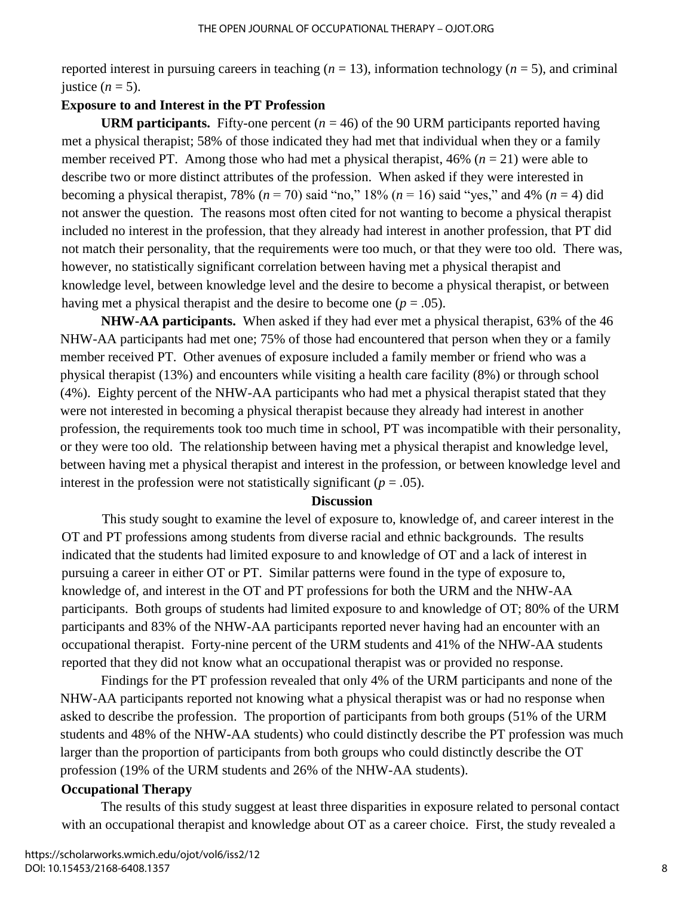reported interest in pursuing careers in teaching  $(n = 13)$ , information technology  $(n = 5)$ , and criminal justice  $(n = 5)$ .

#### **Exposure to and Interest in the PT Profession**

**URM participants.** Fifty-one percent  $(n = 46)$  of the 90 URM participants reported having met a physical therapist; 58% of those indicated they had met that individual when they or a family member received PT. Among those who had met a physical therapist, 46% (*n* = 21) were able to describe two or more distinct attributes of the profession. When asked if they were interested in becoming a physical therapist, 78% ( $n = 70$ ) said "no," 18% ( $n = 16$ ) said "yes," and 4% ( $n = 4$ ) did not answer the question. The reasons most often cited for not wanting to become a physical therapist included no interest in the profession, that they already had interest in another profession, that PT did not match their personality, that the requirements were too much, or that they were too old. There was, however, no statistically significant correlation between having met a physical therapist and knowledge level, between knowledge level and the desire to become a physical therapist, or between having met a physical therapist and the desire to become one  $(p = .05)$ .

**NHW-AA participants.** When asked if they had ever met a physical therapist, 63% of the 46 NHW-AA participants had met one; 75% of those had encountered that person when they or a family member received PT. Other avenues of exposure included a family member or friend who was a physical therapist (13%) and encounters while visiting a health care facility (8%) or through school (4%). Eighty percent of the NHW-AA participants who had met a physical therapist stated that they were not interested in becoming a physical therapist because they already had interest in another profession, the requirements took too much time in school, PT was incompatible with their personality, or they were too old. The relationship between having met a physical therapist and knowledge level, between having met a physical therapist and interest in the profession, or between knowledge level and interest in the profession were not statistically significant  $(p = .05)$ .

#### **Discussion**

This study sought to examine the level of exposure to, knowledge of, and career interest in the OT and PT professions among students from diverse racial and ethnic backgrounds. The results indicated that the students had limited exposure to and knowledge of OT and a lack of interest in pursuing a career in either OT or PT. Similar patterns were found in the type of exposure to, knowledge of, and interest in the OT and PT professions for both the URM and the NHW-AA participants. Both groups of students had limited exposure to and knowledge of OT; 80% of the URM participants and 83% of the NHW-AA participants reported never having had an encounter with an occupational therapist. Forty-nine percent of the URM students and 41% of the NHW-AA students reported that they did not know what an occupational therapist was or provided no response.

Findings for the PT profession revealed that only 4% of the URM participants and none of the NHW-AA participants reported not knowing what a physical therapist was or had no response when asked to describe the profession. The proportion of participants from both groups (51% of the URM students and 48% of the NHW-AA students) who could distinctly describe the PT profession was much larger than the proportion of participants from both groups who could distinctly describe the OT profession (19% of the URM students and 26% of the NHW-AA students).

#### **Occupational Therapy**

The results of this study suggest at least three disparities in exposure related to personal contact with an occupational therapist and knowledge about OT as a career choice. First, the study revealed a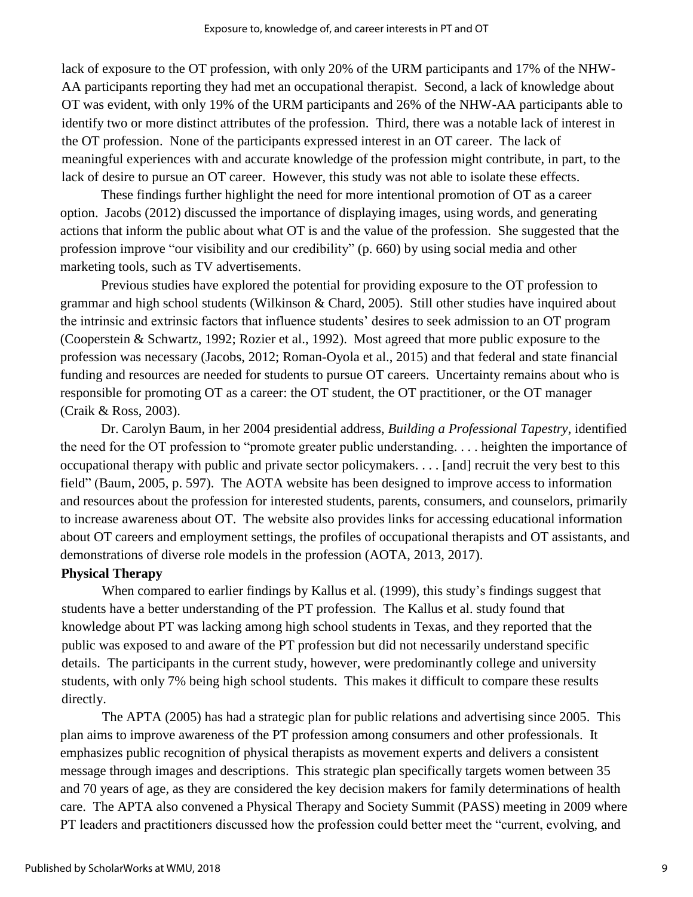lack of exposure to the OT profession, with only 20% of the URM participants and 17% of the NHW-AA participants reporting they had met an occupational therapist. Second, a lack of knowledge about OT was evident, with only 19% of the URM participants and 26% of the NHW-AA participants able to identify two or more distinct attributes of the profession. Third, there was a notable lack of interest in the OT profession. None of the participants expressed interest in an OT career. The lack of meaningful experiences with and accurate knowledge of the profession might contribute, in part, to the lack of desire to pursue an OT career. However, this study was not able to isolate these effects.

These findings further highlight the need for more intentional promotion of OT as a career option. Jacobs (2012) discussed the importance of displaying images, using words, and generating actions that inform the public about what OT is and the value of the profession. She suggested that the profession improve "our visibility and our credibility" (p. 660) by using social media and other marketing tools, such as TV advertisements.

Previous studies have explored the potential for providing exposure to the OT profession to grammar and high school students (Wilkinson & Chard, 2005). Still other studies have inquired about the intrinsic and extrinsic factors that influence students' desires to seek admission to an OT program (Cooperstein & Schwartz, 1992; Rozier et al., 1992). Most agreed that more public exposure to the profession was necessary (Jacobs, 2012; Roman-Oyola et al., 2015) and that federal and state financial funding and resources are needed for students to pursue OT careers. Uncertainty remains about who is responsible for promoting OT as a career: the OT student, the OT practitioner, or the OT manager (Craik & Ross, 2003).

Dr. Carolyn Baum, in her 2004 presidential address, *Building a Professional Tapestry*, identified the need for the OT profession to "promote greater public understanding. . . . heighten the importance of occupational therapy with public and private sector policymakers. . . . [and] recruit the very best to this field" (Baum, 2005, p. 597). The AOTA website has been designed to improve access to information and resources about the profession for interested students, parents, consumers, and counselors, primarily to increase awareness about OT. The website also provides links for accessing educational information about OT careers and employment settings, the profiles of occupational therapists and OT assistants, and demonstrations of diverse role models in the profession (AOTA, 2013, 2017).

#### **Physical Therapy**

When compared to earlier findings by Kallus et al. (1999), this study's findings suggest that students have a better understanding of the PT profession. The Kallus et al. study found that knowledge about PT was lacking among high school students in Texas, and they reported that the public was exposed to and aware of the PT profession but did not necessarily understand specific details. The participants in the current study, however, were predominantly college and university students, with only 7% being high school students. This makes it difficult to compare these results directly.

The APTA (2005) has had a strategic plan for public relations and advertising since 2005. This plan aims to improve awareness of the PT profession among consumers and other professionals. It emphasizes public recognition of physical therapists as movement experts and delivers a consistent message through images and descriptions. This strategic plan specifically targets women between 35 and 70 years of age, as they are considered the key decision makers for family determinations of health care. The APTA also convened a Physical Therapy and Society Summit (PASS) meeting in 2009 where PT leaders and practitioners discussed how the profession could better meet the "current, evolving, and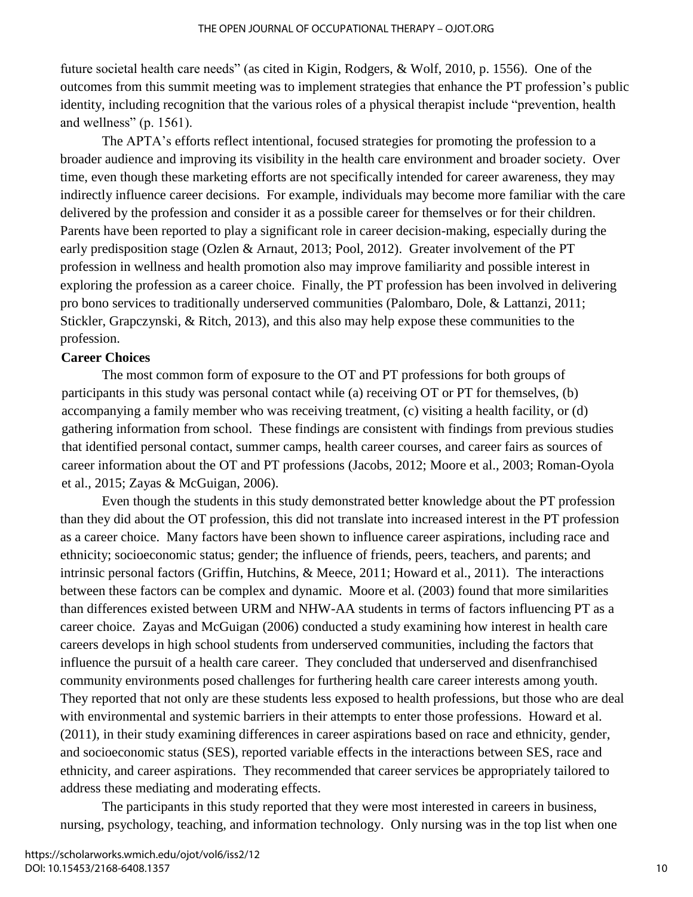future societal health care needs" (as cited in Kigin, Rodgers, & Wolf, 2010, p. 1556). One of the outcomes from this summit meeting was to implement strategies that enhance the PT profession's public identity, including recognition that the various roles of a physical therapist include "prevention, health and wellness" (p. 1561).

The APTA's efforts reflect intentional, focused strategies for promoting the profession to a broader audience and improving its visibility in the health care environment and broader society. Over time, even though these marketing efforts are not specifically intended for career awareness, they may indirectly influence career decisions. For example, individuals may become more familiar with the care delivered by the profession and consider it as a possible career for themselves or for their children. Parents have been reported to play a significant role in career decision-making, especially during the early predisposition stage (Ozlen & Arnaut, 2013; Pool, 2012). Greater involvement of the PT profession in wellness and health promotion also may improve familiarity and possible interest in exploring the profession as a career choice. Finally, the PT profession has been involved in delivering pro bono services to traditionally underserved communities (Palombaro, Dole, & Lattanzi, 2011; Stickler, Grapczynski, & Ritch, 2013), and this also may help expose these communities to the profession.

#### **Career Choices**

The most common form of exposure to the OT and PT professions for both groups of participants in this study was personal contact while (a) receiving OT or PT for themselves, (b) accompanying a family member who was receiving treatment, (c) visiting a health facility, or (d) gathering information from school. These findings are consistent with findings from previous studies that identified personal contact, summer camps, health career courses, and career fairs as sources of career information about the OT and PT professions (Jacobs, 2012; Moore et al., 2003; Roman-Oyola et al., 2015; Zayas & McGuigan, 2006).

Even though the students in this study demonstrated better knowledge about the PT profession than they did about the OT profession, this did not translate into increased interest in the PT profession as a career choice. Many factors have been shown to influence career aspirations, including race and ethnicity; socioeconomic status; gender; the influence of friends, peers, teachers, and parents; and intrinsic personal factors (Griffin, Hutchins, & Meece, 2011; Howard et al., 2011). The interactions between these factors can be complex and dynamic. Moore et al. (2003) found that more similarities than differences existed between URM and NHW-AA students in terms of factors influencing PT as a career choice. Zayas and McGuigan (2006) conducted a study examining how interest in health care careers develops in high school students from underserved communities, including the factors that influence the pursuit of a health care career. They concluded that underserved and disenfranchised community environments posed challenges for furthering health care career interests among youth. They reported that not only are these students less exposed to health professions, but those who are deal with environmental and systemic barriers in their attempts to enter those professions. Howard et al. (2011), in their study examining differences in career aspirations based on race and ethnicity, gender, and socioeconomic status (SES), reported variable effects in the interactions between SES, race and ethnicity, and career aspirations. They recommended that career services be appropriately tailored to address these mediating and moderating effects.

The participants in this study reported that they were most interested in careers in business, nursing, psychology, teaching, and information technology. Only nursing was in the top list when one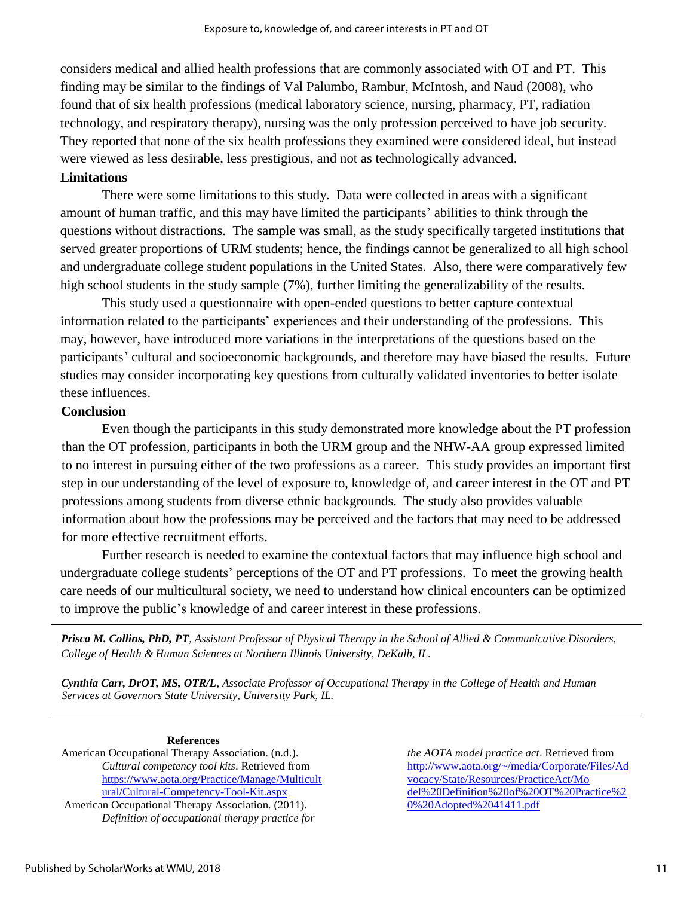considers medical and allied health professions that are commonly associated with OT and PT. This finding may be similar to the findings of Val Palumbo, Rambur, McIntosh, and Naud (2008), who found that of six health professions (medical laboratory science, nursing, pharmacy, PT, radiation technology, and respiratory therapy), nursing was the only profession perceived to have job security. They reported that none of the six health professions they examined were considered ideal, but instead were viewed as less desirable, less prestigious, and not as technologically advanced.

#### **Limitations**

There were some limitations to this study. Data were collected in areas with a significant amount of human traffic, and this may have limited the participants' abilities to think through the questions without distractions. The sample was small, as the study specifically targeted institutions that served greater proportions of URM students; hence, the findings cannot be generalized to all high school and undergraduate college student populations in the United States. Also, there were comparatively few high school students in the study sample (7%), further limiting the generalizability of the results.

This study used a questionnaire with open-ended questions to better capture contextual information related to the participants' experiences and their understanding of the professions. This may, however, have introduced more variations in the interpretations of the questions based on the participants' cultural and socioeconomic backgrounds, and therefore may have biased the results. Future studies may consider incorporating key questions from culturally validated inventories to better isolate these influences.

#### **Conclusion**

Even though the participants in this study demonstrated more knowledge about the PT profession than the OT profession, participants in both the URM group and the NHW-AA group expressed limited to no interest in pursuing either of the two professions as a career. This study provides an important first step in our understanding of the level of exposure to, knowledge of, and career interest in the OT and PT professions among students from diverse ethnic backgrounds. The study also provides valuable information about how the professions may be perceived and the factors that may need to be addressed for more effective recruitment efforts.

Further research is needed to examine the contextual factors that may influence high school and undergraduate college students' perceptions of the OT and PT professions. To meet the growing health care needs of our multicultural society, we need to understand how clinical encounters can be optimized to improve the public's knowledge of and career interest in these professions.

*Prisca M. Collins, PhD, PT, Assistant Professor of Physical Therapy in the School of Allied & Communicative Disorders, College of Health & Human Sciences at Northern Illinois University, DeKalb, IL.*

*Cynthia Carr, DrOT, MS, OTR/L, Associate Professor of Occupational Therapy in the College of Health and Human Services at Governors State University, University Park, IL.*

**References**  American Occupational Therapy Association. (n.d.). *Cultural competency tool kits*. Retrieved from [https://www.aota.org/Practice/Manage/Multicult](https://www.aota.org/Practice/Manage/Multicultural/Cultural-Competency-Tool-Kit.aspx) [ural/Cultural-Competency-Tool-Kit.aspx](https://www.aota.org/Practice/Manage/Multicultural/Cultural-Competency-Tool-Kit.aspx) American Occupational Therapy Association. (2011).

*Definition of occupational therapy practice for* 

*the AOTA model practice act*. Retrieved from [http://www.aota.org/~/media/Corporate/Files/Ad](http://www.aota.org/~/media/Corporate/Files/Advocacy/State/Resources/PracticeAct/Model%20Definition%20of%20OT%20Practice%20%20Adopted%2041411.pdf) [vocacy/State/Resources/PracticeAct/Mo](http://www.aota.org/~/media/Corporate/Files/Advocacy/State/Resources/PracticeAct/Model%20Definition%20of%20OT%20Practice%20%20Adopted%2041411.pdf)  [del%20Definition%20of%20OT%20Practice%2](http://www.aota.org/~/media/Corporate/Files/Advocacy/State/Resources/PracticeAct/Model%20Definition%20of%20OT%20Practice%20%20Adopted%2041411.pdf) [0%20Adopted%2041411.pdf](http://www.aota.org/~/media/Corporate/Files/Advocacy/State/Resources/PracticeAct/Model%20Definition%20of%20OT%20Practice%20%20Adopted%2041411.pdf)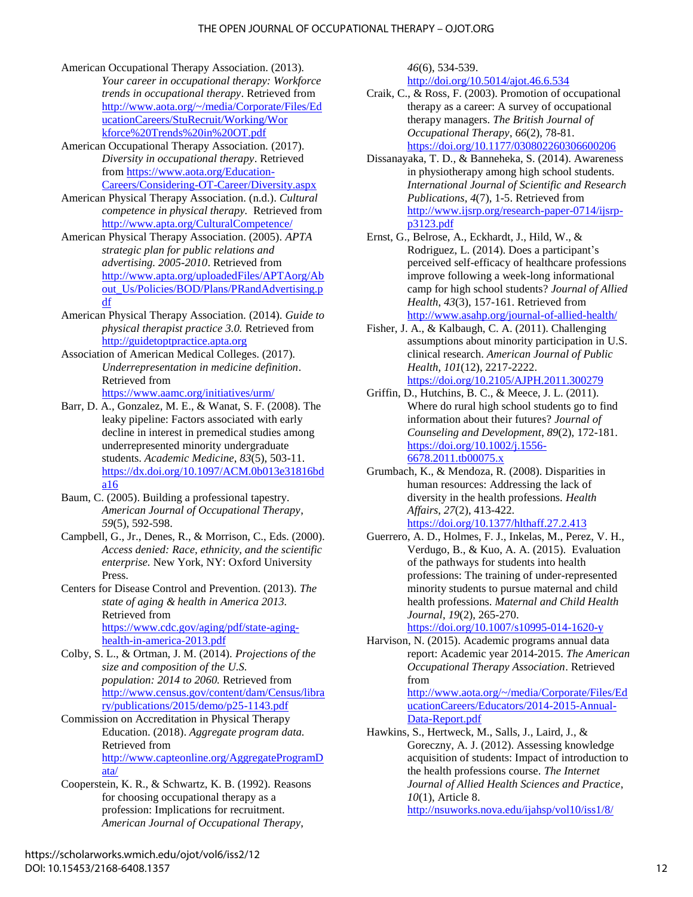- American Occupational Therapy Association. (2013). *Your career in occupational therapy: Workforce trends in occupational therapy*. Retrieved from [http://www.aota.org/~/media/Corporate/Files/Ed](http://www.aota.org/~/media/Corporate/Files/EducationCareers/StuRecruit/Working/Workforce%20Trends%20in%20OT.pdf) [ucationCareers/StuRecruit/Working/Wor](http://www.aota.org/~/media/Corporate/Files/EducationCareers/StuRecruit/Working/Workforce%20Trends%20in%20OT.pdf)  [kforce%20Trends%20in%20OT.pdf](http://www.aota.org/~/media/Corporate/Files/EducationCareers/StuRecruit/Working/Workforce%20Trends%20in%20OT.pdf)
- American Occupational Therapy Association*.* (2017). *Diversity in occupational therapy*. Retrieved from [https://www.aota.org/Education-](https://www.aota.org/Education-Careers/Considering-OT-Career/Diversity.aspx)[Careers/Considering-OT-Career/Diversity.aspx](https://www.aota.org/Education-Careers/Considering-OT-Career/Diversity.aspx)
- American Physical Therapy Association. (n.d.). *Cultural competence in physical therapy.* Retrieved from <http://www.apta.org/CulturalCompetence/>
- American Physical Therapy Association. (2005). *APTA strategic plan for public relations and advertising. 2005-2010*. Retrieved from [http://www.apta.org/uploadedFiles/APTAorg/Ab](http://www.apta.org/uploadedFiles/APTAorg/About_Us/Policies/BOD/Plans/PRandAdvertising.pdf) [out\\_Us/Policies/BOD/Plans/PRandAdvertising.p](http://www.apta.org/uploadedFiles/APTAorg/About_Us/Policies/BOD/Plans/PRandAdvertising.pdf) [df](http://www.apta.org/uploadedFiles/APTAorg/About_Us/Policies/BOD/Plans/PRandAdvertising.pdf)
- American Physical Therapy Association*.* (2014). *Guide to physical therapist practice 3.0.* Retrieved fro[m](http://guidetoptpractice.apta.org/) [http://guidetoptpractice.apta.org](http://guidetoptpractice.apta.org/)
- Association of American Medical Colleges. (2017). *Underrepresentation in medicine definition*. Retrieved from <https://www.aamc.org/initiatives/urm/>
- Barr, D. A., Gonzalez, M. E., & Wanat, S. F. (2008). The leaky pipeline: Factors associated with early decline in interest in premedical studies among underrepresented minority undergraduate students. *Academic Medicine*, *83*(5), 503-11. [https://dx.doi.org/10.1097/ACM.0b013e31816bd](http://dx.doi.org/10.1097/ACM.0b013e31816bda16) [a16](http://dx.doi.org/10.1097/ACM.0b013e31816bda16)
- Baum, C. (2005). Building a professional tapestry. *American Journal of Occupational Therapy*, *59*(5), 592-598.
- Campbell, G., Jr., Denes, R., & Morrison, C., Eds. (2000). *Access denied: Race, ethnicity, and the scientific enterprise.* New York, NY: Oxford University Press.
- Centers for Disease Control and Prevention. (2013). *The state of aging & health in America 2013.*  Retrieved from [https://www.cdc.gov/aging/pdf/state-aging](https://www.cdc.gov/aging/pdf/state-aging-health-in-america-2013.pdf)[health-in-america-2013.pdf](https://www.cdc.gov/aging/pdf/state-aging-health-in-america-2013.pdf)
- Colby, S. L., & Ortman, J. M. (2014). *Projections of the size and composition of the U.S. population: 2014 to 2060.* Retrieved from [http://www.census.gov/content/dam/Census/libra](http://www.census.gov/content/dam/Census/library/publications/2015/demo/p25-1143.pdf) [ry/publications/2015/demo/p25-1143.pdf](http://www.census.gov/content/dam/Census/library/publications/2015/demo/p25-1143.pdf)
- Commission on Accreditation in Physical Therapy Education. (2018). *Aggregate program data.*  Retrieved from [http://www.capteonline.org/AggregateProgramD](http://www.capteonline.org/AggregateProgramData/) [ata/](http://www.capteonline.org/AggregateProgramData/)
- Cooperstein, K. R., & Schwartz, K. B. (1992). Reasons for choosing occupational therapy as a profession: Implications for recruitment. *American Journal of Occupational Therapy*,

*46*(6), 534-539.

<http://doi.org/10.5014/ajot.46.6.534>

- Craik, C., & Ross, F. (2003). Promotion of occupational therapy as a career: A survey of occupational therapy managers. *The British Journal of Occupational Therapy*, *66*(2), 78-81. [https://doi.org/10.1177/030802260306600206](http://doi.org/10.1177/030802260306600206)
- Dissanayaka, T. D., & Banneheka, S. (2014). Awareness in physiotherapy among high school students. *International Journal of Scientific and Research Publications*, *4*(7), 1-5. Retrieved from [http://www.ijsrp.org/research-paper-0714/ijsrp](http://www.ijsrp.org/research-paper-0714/ijsrp-p3123.pdf)[p3123.pdf](http://www.ijsrp.org/research-paper-0714/ijsrp-p3123.pdf)
- Ernst, G., Belrose, A., Eckhardt, J., Hild, W., & Rodriguez, L. (2014). Does a participant's perceived self-efficacy of healthcare professions improve following a week-long informational camp for high school students? *Journal of Allied Health*, *43*(3), 157-161. Retrieved from <http://www.asahp.org/journal-of-allied-health/>
- Fisher, J. A., & Kalbaugh, C. A. (2011). Challenging assumptions about minority participation in U.S. clinical research. *American Journal of Public Health*, *101*(12), 2217-2222. [https://doi.org/10.2105/AJPH.2011.300279](http://doi.org/10.2105/AJPH.2011.300279)
- Griffin, D., Hutchins, B. C., & Meece, J. L. (2011). Where do rural high school students go to find information about their futures? *Journal of Counseling and Development*, *89*(2), 172-181. [https://doi.org/10.1002/j.1556-](http://doi.org/10.1002/j.1556-6678.2011.tb00075.x) [6678.2011.tb00075.x](http://doi.org/10.1002/j.1556-6678.2011.tb00075.x)
- Grumbach, K., & Mendoza, R. (2008). Disparities in human resources: Addressing the lack of diversity in the health professions. *Health Affairs*, *27*(2), 413-422. [https://doi.org/10.1377/hlthaff.27.2.413](http://doi.org/10.1377/hlthaff.27.2.413)
- Guerrero, A. D., Holmes, F. J., Inkelas, M., Perez, V. H., Verdugo, B., & Kuo, A. A. (2015). Evaluation of the pathways for students into health professions: The training of under-represented minority students to pursue maternal and child health professions. *Maternal and Child Health Journal*, *19*(2), 265-270.

[https://doi.org/10.1007/s10995-014-1620-y](http://doi.org/10.1007/s10995-014-1620-y)

Harvison, N. (2015). Academic programs annual data report: Academic year 2014-2015. *The American Occupational Therapy Association*. Retrieved from

[http://www.aota.org/~/media/Corporate/Files/Ed](http://www.aota.org/~/media/Corporate/Files/EducationCareers/Educators/2014-2015-Annual-Data-Report.pdf) [ucationCareers/Educators/2014-2015-Annual-](http://www.aota.org/~/media/Corporate/Files/EducationCareers/Educators/2014-2015-Annual-Data-Report.pdf)[Data-Report.pdf](http://www.aota.org/~/media/Corporate/Files/EducationCareers/Educators/2014-2015-Annual-Data-Report.pdf)

Hawkins, S., Hertweck, M., Salls, J., Laird, J., & Goreczny, A. J. (2012). Assessing knowledge acquisition of students: Impact of introduction to the health professions course. *The Internet Journal of Allied Health Sciences and Practice*, *10*(1), Article 8. <http://nsuworks.nova.edu/ijahsp/vol10/iss1/8/>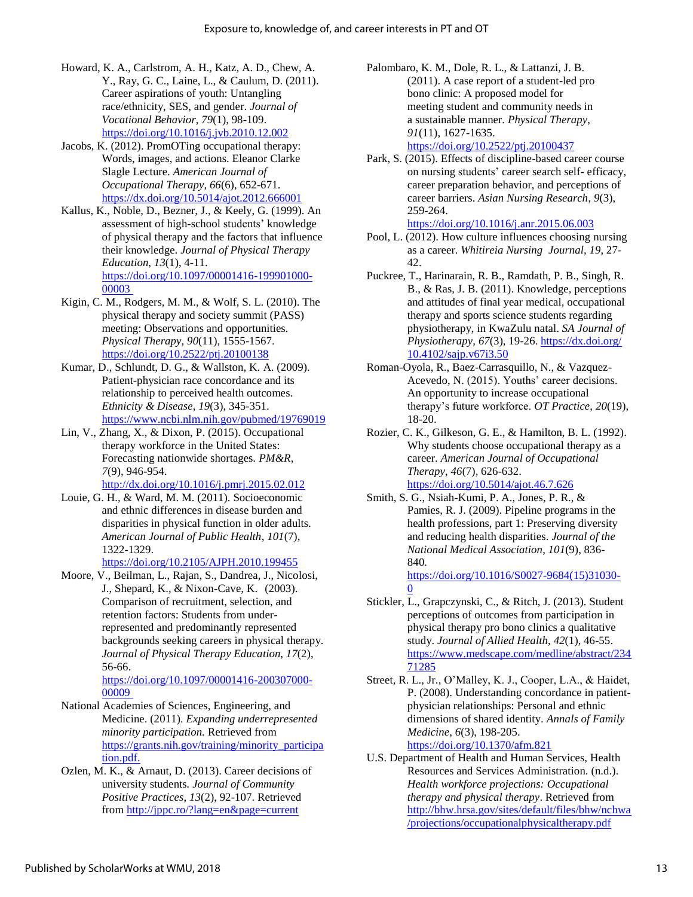- Howard, K. A., Carlstrom, A. H., Katz, A. D., Chew, A. Y., Ray, G. C., Laine, L., & Caulum, D. (2011). Career aspirations of youth: Untangling race/ethnicity, SES, and gender. *Journal of Vocational Behavior*, *79*(1), 98-109. [https://doi.org/10.1016/j.jvb.2010.12.002](http://doi.org/10.1016/j.jvb.2010.12.002)
- Jacobs, K. (2012). PromOTing occupational therapy: Words, images, and actions. Eleanor Clarke Slagle Lecture. *American Journal of Occupational Therapy*, *66*(6), 652-671. <https://dx.doi.org/10.5014/ajot.2012.666001>
- Kallus, K., Noble, D., Bezner, J., & Keely, G. (1999). An assessment of high-school students' knowledge of physical therapy and the factors that influence their knowledge. *Journal of Physical Therapy Education*, *13*(1), 4-11. [https://doi.org/10.1097/00001416-199901000-](https://doi.org/10.1097/00001416-199901000-00003) [00003](https://doi.org/10.1097/00001416-199901000-00003)
- Kigin, C. M., Rodgers, M. M., & Wolf, S. L. (2010). The physical therapy and society summit (PASS) meeting: Observations and opportunities. *Physical Therapy*, *90*(11), 1555-1567. [https://doi.org/10.2522/ptj.20100138](http://doi.org/10.2522/ptj.20100138)
- Kumar, D., Schlundt, D. G., & Wallston, K. A. (2009). Patient-physician race concordance and its relationship to perceived health outcomes. *Ethnicity & Disease*, *19*(3), 345-351. <https://www.ncbi.nlm.nih.gov/pubmed/19769019>
- Lin, V., Zhang, X., & Dixon, P. (2015). Occupational therapy workforce in the United States: Forecasting nationwide shortages. *PM&R*, *7*(9), 946-954.

<http://dx.doi.org/10.1016/j.pmrj.2015.02.012>

Louie, G. H., & Ward, M. M. (2011). Socioeconomic and ethnic differences in disease burden and disparities in physical function in older adults. *American Journal of Public Health*, *101*(7), 1322-1329.

[https://doi.org/10.2105/AJPH.2010.199455](http://doi.org/10.2105/AJPH.2010.199455)

Moore, V., Beilman, L., Rajan, S., Dandrea, J., Nicolosi, J., Shepard, K., & Nixon-Cave, K. (2003). Comparison of recruitment, selection, and retention factors: Students from underrepresented and predominantly represented backgrounds seeking careers in physical therapy. *Journal of Physical Therapy Education*, *17*(2), 56-66.

[https://doi.org/10.1097/00001416-200307000-](https://doi.org/10.1097/00001416-200307000-00009) [00009](https://doi.org/10.1097/00001416-200307000-00009)

- National Academies of Sciences, Engineering, and Medicine. (2011). *Expanding underrepresented minority participation.* Retrieved fro[m](https://grants.nih.gov/training/minority_participation.pdf) [https://grants.nih.gov/training/minority\\_participa](https://grants.nih.gov/training/minority_participation.pdf) [tion.pdf.](https://grants.nih.gov/training/minority_participation.pdf)
- Ozlen, M. K., & Arnaut, D. (2013). Career decisions of university students*. Journal of Community Positive Practices*, *13*(2), 92-107. Retrieved from<http://jppc.ro/?lang=en&page=current>
- Palombaro, K. M., Dole, R. L., & Lattanzi, J. B. (2011). A case report of a student-led pro bono clinic: A proposed model for meeting student and community needs in a sustainable manner. *Physical Therapy*, *91*(11), 1627-1635. [https://doi.org/10.2522/ptj.20100437](http://doi.org/10.2522/ptj.20100437)
- Park, S. (2015). Effects of discipline-based career course on nursing students' career search self- efficacy, career preparation behavior, and perceptions of career barriers. *Asian Nursing Research*, *9*(3), 259-264.

<https://doi.org/10.1016/j.anr.2015.06.003> Pool, L. (2012). How culture influences choosing nursing

- as a career. *Whitireia Nursing Journal*, *19*, 27- 42.
- Puckree, T., Harinarain, R. B., Ramdath, P. B., Singh, R. B., & Ras, J. B. (2011). Knowledge, perceptions and attitudes of final year medical, occupational therapy and sports science students regarding physiotherapy, in KwaZulu natal. *SA Journal of Physiotherapy*, *67*(3), 19-26. [https://dx.doi.org/](https://dx.doi.org/%2010.4102/sajp.v67i3.50)  [10.4102/sajp.v67i3.50](https://dx.doi.org/%2010.4102/sajp.v67i3.50)
- Roman-Oyola, R., Baez-Carrasquillo, N., & Vazquez-Acevedo, N. (2015). Youths' career decisions. An opportunity to increase occupational therapy's future workforce. *OT Practice*, *20*(19), 18-20.
- Rozier, C. K., Gilkeson, G. E., & Hamilton, B. L. (1992). Why students choose occupational therapy as a career. *American Journal of Occupational Therapy*, *46*(7), 626-632. <https://doi.org/10.5014/ajot.46.7.626>
- Smith, S. G., Nsiah-Kumi, P. A., Jones, P. R., & Pamies, R. J. (2009). Pipeline programs in the health professions, part 1: Preserving diversity and reducing health disparities. *Journal of the National Medical Association*, *101*(9), 836- 840*.*

[https://doi.org/10.1016/S0027-9684\(15\)31030-](https://doi.org/10.1016/S0027-9684(15)31030-0)  $\Omega$ 

- Stickler, L., Grapczynski, C., & Ritch, J. (2013). Student perceptions of outcomes from participation in physical therapy pro bono clinics a qualitative study. *Journal of Allied Health*, *42*(1), 46-55. [https://www.medscape.com/medline/abstract/234](https://www.medscape.com/medline/abstract/23471285) [71285](https://www.medscape.com/medline/abstract/23471285)
- Street, R. L., Jr., O'Malley, K. J., Cooper, L.A., & Haidet, P. (2008). Understanding concordance in patientphysician relationships: Personal and ethnic dimensions of shared identity. *Annals of Family Medicine*, *6*(3), 198-205. <https://doi.org/10.1370/afm.821>
- U.S. Department of Health and Human Services, Health Resources and Services Administration. (n.d.). *Health workforce projections: Occupational therapy and physical therapy*. Retrieved from [http://bhw.hrsa.gov/sites/default/files/bhw/nchwa](http://bhw.hrsa.gov/sites/default/files/bhw/nchwa/projections/occupationalphysicaltherapy.pdf) [/projections/occupationalphysicaltherapy.pdf](http://bhw.hrsa.gov/sites/default/files/bhw/nchwa/projections/occupationalphysicaltherapy.pdf)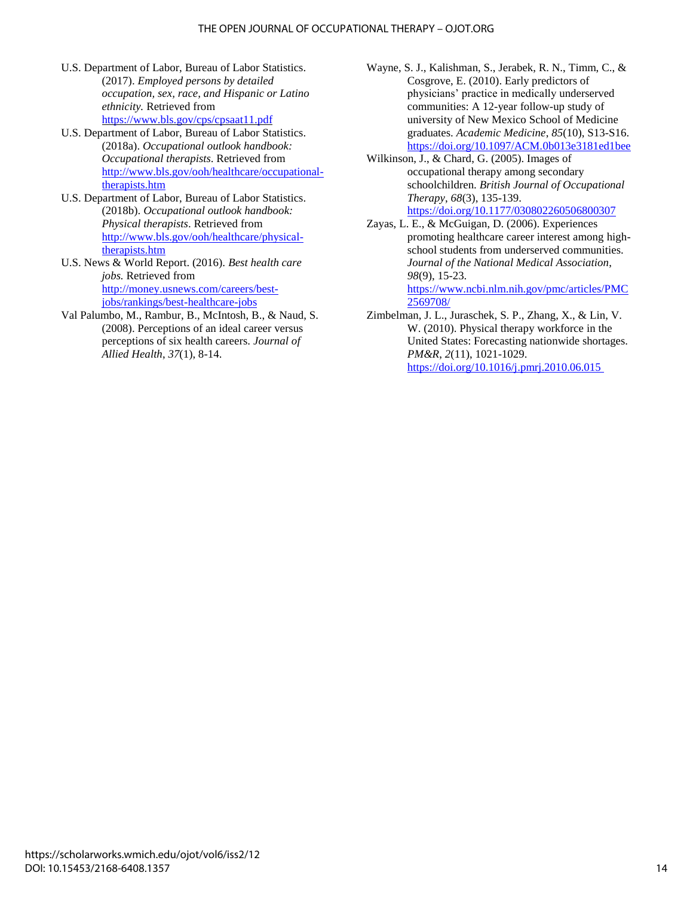- U.S. Department of Labor, Bureau of Labor Statistics. (2017). *Employed persons by detailed occupation, sex, race, and Hispanic or Latino ethnicity.* Retrieved from <https://www.bls.gov/cps/cpsaat11.pdf>
- U.S. Department of Labor, Bureau of Labor Statistics. (2018a). *Occupational outlook handbook: Occupational therapists*. Retrieved from [http://www.bls.gov/ooh/healthcare/occupational](http://www.bls.gov/ooh/healthcare/occupational-therapists.htm)[therapists.htm](http://www.bls.gov/ooh/healthcare/occupational-therapists.htm)
- U.S. Department of Labor, Bureau of Labor Statistics. (2018b). *Occupational outlook handbook: Physical therapists*. Retrieved from [http://www.bls.gov/ooh/healthcare/physical](http://www.bls.gov/ooh/healthcare/physical-therapists.htm)[therapists.htm](http://www.bls.gov/ooh/healthcare/physical-therapists.htm)
- U.S. News & World Report. (2016). *Best health care jobs.* Retrieved from [http://money.usnews.com/careers/best](http://money.usnews.com/careers/best-jobs/rankings/best-healthcare-jobs)[jobs/rankings/best-healthcare-jobs](http://money.usnews.com/careers/best-jobs/rankings/best-healthcare-jobs)
- Val Palumbo, M., Rambur, B., McIntosh, B., & Naud, S. (2008). Perceptions of an ideal career versus perceptions of six health careers. *Journal of Allied Health*, *37*(1), 8-14.
- Wayne, S. J., Kalishman, S., Jerabek, R. N., Timm, C., & Cosgrove, E. (2010). Early predictors of physicians' practice in medically underserved communities: A 12-year follow-up study of university of New Mexico School of Medicine graduates. *Academic Medicine*, *85*(10), S13-S16. <https://doi.org/10.1097/ACM.0b013e3181ed1bee>
- Wilkinson, J., & Chard, G. (2005). Images of occupational therapy among secondary schoolchildren. *British Journal of Occupational Therapy*, *68*(3), 135-139. <https://doi.org/10.1177/030802260506800307>
- Zayas, L. E., & McGuigan, D. (2006). Experiences promoting healthcare career interest among highschool students from underserved communities. *Journal of the National Medical Association*, *98*(9), 15-23. [https://www.ncbi.nlm.nih.gov/pmc/articles/PMC](https://www.ncbi.nlm.nih.gov/pmc/articles/PMC2569708/)

[2569708/](https://www.ncbi.nlm.nih.gov/pmc/articles/PMC2569708/) Zimbelman, J. L., Juraschek, S. P., Zhang, X., & Lin, V. W. (2010). Physical therapy workforce in the United States: Forecasting nationwide shortages. *PM&R*, *2*(11), 1021-1029. [https://doi.org/10.1016/j.pmrj.2010.06.015](https://doi.org/10.1016/j.pmrj.2010.06.015 )

https://scholarworks.wmich.edu/ojot/vol6/iss2/12 DOI: 10.15453/2168-6408.1357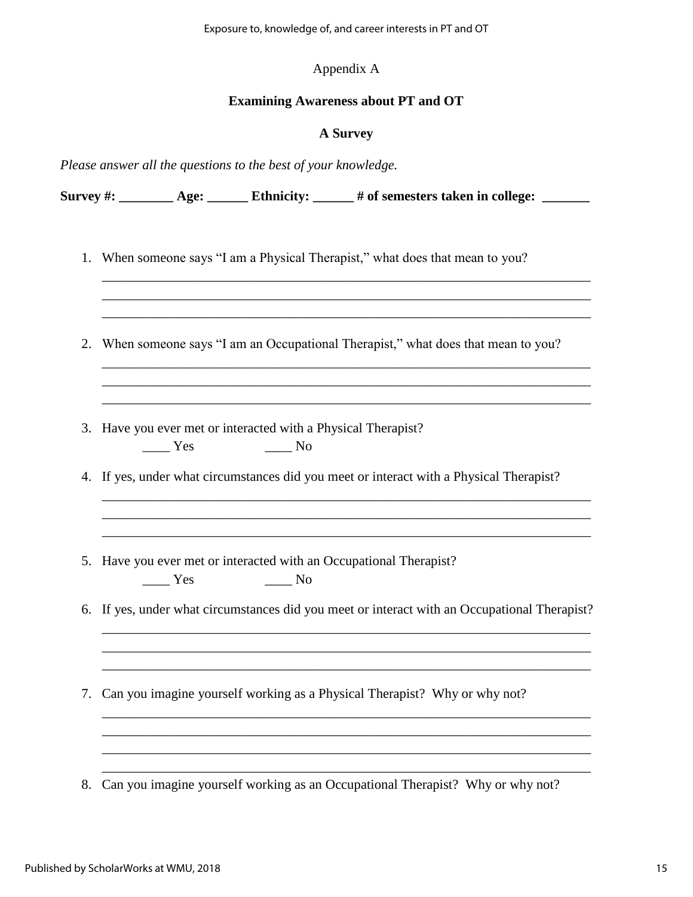#### Appendix A

#### **Examining Awareness about PT and OT**

#### **A Survey**

\_\_\_\_\_\_\_\_\_\_\_\_\_\_\_\_\_\_\_\_\_\_\_\_\_\_\_\_\_\_\_\_\_\_\_\_\_\_\_\_\_\_\_\_\_\_\_\_\_\_\_\_\_\_\_\_\_\_\_\_\_\_\_\_\_\_\_\_\_\_\_\_ \_\_\_\_\_\_\_\_\_\_\_\_\_\_\_\_\_\_\_\_\_\_\_\_\_\_\_\_\_\_\_\_\_\_\_\_\_\_\_\_\_\_\_\_\_\_\_\_\_\_\_\_\_\_\_\_\_\_\_\_\_\_\_\_\_\_\_\_\_\_\_\_ \_\_\_\_\_\_\_\_\_\_\_\_\_\_\_\_\_\_\_\_\_\_\_\_\_\_\_\_\_\_\_\_\_\_\_\_\_\_\_\_\_\_\_\_\_\_\_\_\_\_\_\_\_\_\_\_\_\_\_\_\_\_\_\_\_\_\_\_\_\_\_\_

\_\_\_\_\_\_\_\_\_\_\_\_\_\_\_\_\_\_\_\_\_\_\_\_\_\_\_\_\_\_\_\_\_\_\_\_\_\_\_\_\_\_\_\_\_\_\_\_\_\_\_\_\_\_\_\_\_\_\_\_\_\_\_\_\_\_\_\_\_\_\_\_ \_\_\_\_\_\_\_\_\_\_\_\_\_\_\_\_\_\_\_\_\_\_\_\_\_\_\_\_\_\_\_\_\_\_\_\_\_\_\_\_\_\_\_\_\_\_\_\_\_\_\_\_\_\_\_\_\_\_\_\_\_\_\_\_\_\_\_\_\_\_\_\_ \_\_\_\_\_\_\_\_\_\_\_\_\_\_\_\_\_\_\_\_\_\_\_\_\_\_\_\_\_\_\_\_\_\_\_\_\_\_\_\_\_\_\_\_\_\_\_\_\_\_\_\_\_\_\_\_\_\_\_\_\_\_\_\_\_\_\_\_\_\_\_\_

\_\_\_\_\_\_\_\_\_\_\_\_\_\_\_\_\_\_\_\_\_\_\_\_\_\_\_\_\_\_\_\_\_\_\_\_\_\_\_\_\_\_\_\_\_\_\_\_\_\_\_\_\_\_\_\_\_\_\_\_\_\_\_\_\_\_\_\_\_\_\_\_ \_\_\_\_\_\_\_\_\_\_\_\_\_\_\_\_\_\_\_\_\_\_\_\_\_\_\_\_\_\_\_\_\_\_\_\_\_\_\_\_\_\_\_\_\_\_\_\_\_\_\_\_\_\_\_\_\_\_\_\_\_\_\_\_\_\_\_\_\_\_\_\_ \_\_\_\_\_\_\_\_\_\_\_\_\_\_\_\_\_\_\_\_\_\_\_\_\_\_\_\_\_\_\_\_\_\_\_\_\_\_\_\_\_\_\_\_\_\_\_\_\_\_\_\_\_\_\_\_\_\_\_\_\_\_\_\_\_\_\_\_\_\_\_\_

*Please answer all the questions to the best of your knowledge.* 

Survey #: Age: Ethnicity: # of semesters taken in college:

- 1. When someone says "I am a Physical Therapist," what does that mean to you?
- 2. When someone says "I am an Occupational Therapist," what does that mean to you?
- 3. Have you ever met or interacted with a Physical Therapist? \_\_\_\_ Yes \_\_\_\_ No
- 4. If yes, under what circumstances did you meet or interact with a Physical Therapist?
- 5. Have you ever met or interacted with an Occupational Therapist? \_\_\_\_ Yes \_\_\_\_ No
- 6. If yes, under what circumstances did you meet or interact with an Occupational Therapist?

\_\_\_\_\_\_\_\_\_\_\_\_\_\_\_\_\_\_\_\_\_\_\_\_\_\_\_\_\_\_\_\_\_\_\_\_\_\_\_\_\_\_\_\_\_\_\_\_\_\_\_\_\_\_\_\_\_\_\_\_\_\_\_\_\_\_\_\_\_\_\_\_ \_\_\_\_\_\_\_\_\_\_\_\_\_\_\_\_\_\_\_\_\_\_\_\_\_\_\_\_\_\_\_\_\_\_\_\_\_\_\_\_\_\_\_\_\_\_\_\_\_\_\_\_\_\_\_\_\_\_\_\_\_\_\_\_\_\_\_\_\_\_\_\_ \_\_\_\_\_\_\_\_\_\_\_\_\_\_\_\_\_\_\_\_\_\_\_\_\_\_\_\_\_\_\_\_\_\_\_\_\_\_\_\_\_\_\_\_\_\_\_\_\_\_\_\_\_\_\_\_\_\_\_\_\_\_\_\_\_\_\_\_\_\_\_\_

\_\_\_\_\_\_\_\_\_\_\_\_\_\_\_\_\_\_\_\_\_\_\_\_\_\_\_\_\_\_\_\_\_\_\_\_\_\_\_\_\_\_\_\_\_\_\_\_\_\_\_\_\_\_\_\_\_\_\_\_\_\_\_\_\_\_\_\_\_\_\_\_ \_\_\_\_\_\_\_\_\_\_\_\_\_\_\_\_\_\_\_\_\_\_\_\_\_\_\_\_\_\_\_\_\_\_\_\_\_\_\_\_\_\_\_\_\_\_\_\_\_\_\_\_\_\_\_\_\_\_\_\_\_\_\_\_\_\_\_\_\_\_\_\_

\_\_\_\_\_\_\_\_\_\_\_\_\_\_\_\_\_\_\_\_\_\_\_\_\_\_\_\_\_\_\_\_\_\_\_\_\_\_\_\_\_\_\_\_\_\_\_\_\_\_\_\_\_\_\_\_\_\_\_\_\_\_\_\_\_\_\_\_\_\_\_\_

- 7. Can you imagine yourself working as a Physical Therapist? Why or why not?
- 8. Can you imagine yourself working as an Occupational Therapist? Why or why not?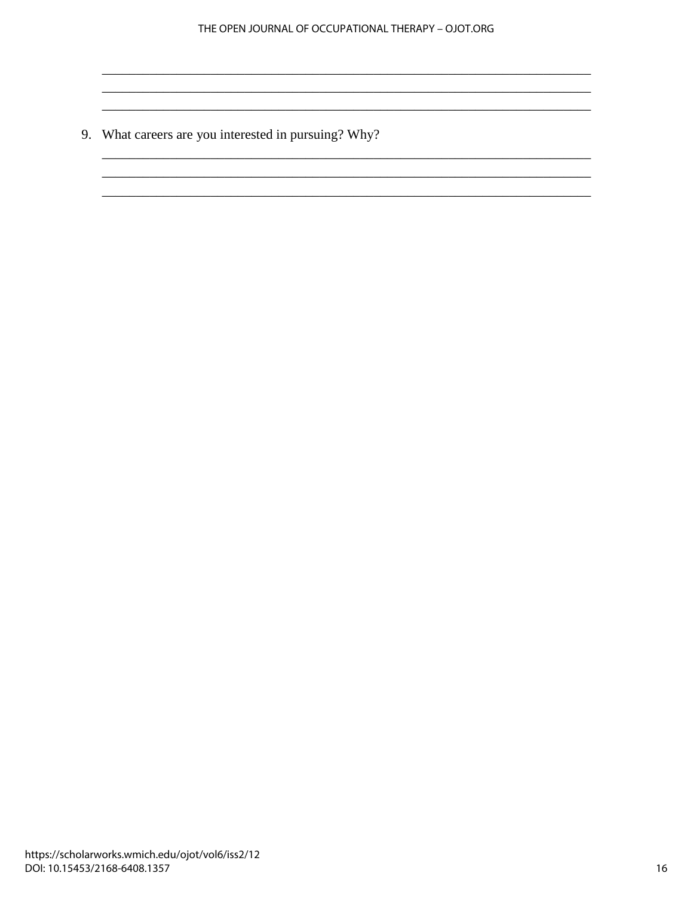9. What careers are you interested in pursuing? Why?